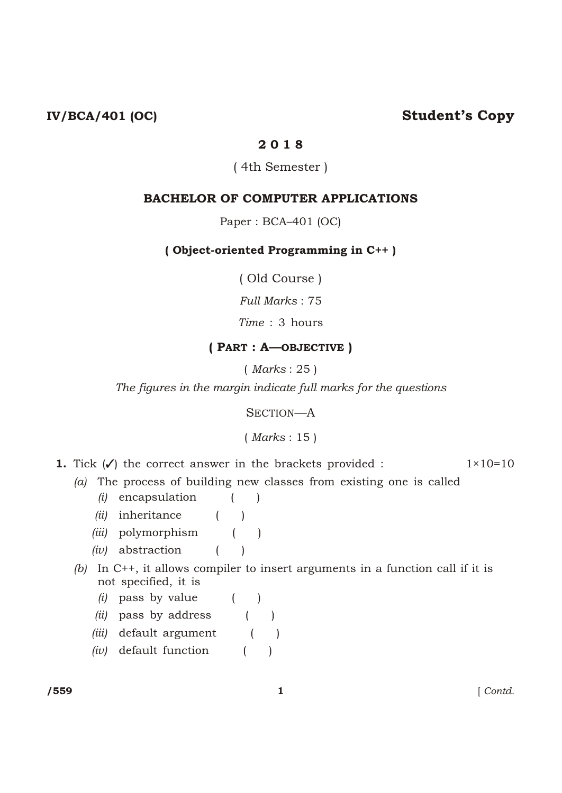## IV/BCA/401 (OC) Student's Copy

#### 2 0 1 8

#### ( 4th Semester )

#### BACHELOR OF COMPUTER APPLICATIONS

Paper : BCA–401 (OC)

#### ( Object-oriented Programming in C++ )

( Old Course )

*Full Marks* : 75

*Time* : 3 hours

### ( PART : A—OBJECTIVE )

( *Marks* : 25 )

*The figures in the margin indicate full marks for the questions*

SECTION—A

#### ( *Marks* : 15 )

- **1.** Tick  $(\checkmark)$  the correct answer in the brackets provided :  $1 \times 10 = 10$ 
	- *(a)* The process of building new classes from existing one is called
		- *(i)* encapsulation ( )
		- *(ii)* inheritance ( )
		- *(iii)* polymorphism ( )
		- *(iv)* abstraction ( )
	- *(b)* In C++, it allows compiler to insert arguments in a function call if it is not specified, it is
		- *(i)* pass by value ( )
		- *(ii)* pass by address ( )
		- *(iii)* default argument ( )
		- *(iv)* default function ( )

/559 1 [ *Contd.*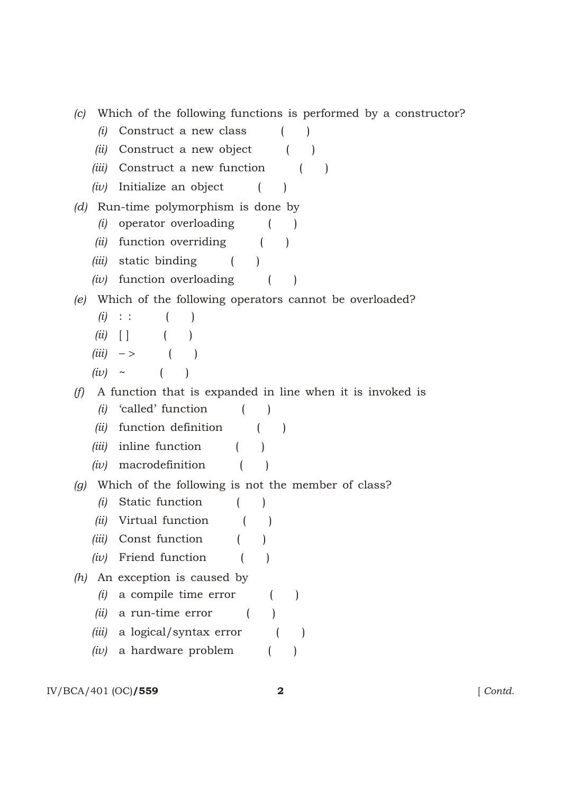|  |  |  |  |  | (c) Which of the following functions is performed by a constructor? |
|--|--|--|--|--|---------------------------------------------------------------------|
|  |  |  |  |  |                                                                     |

- *(i)* Construct a new class ( )
- *(ii)* Construct a new object ( )
- *(iii)* Construct a new function ( )
- *(iv)* Initialize an object ( )
- *(d)* Run-time polymorphism is done by
	- *(i)* operator overloading ( )
	- *(ii)* function overriding ( )
	- *(iii)* static binding ( )
	- *(iv)* function overloading ( )

#### *(e)* Which of the following operators cannot be overloaded?

- *(i)* : : ( )
- *(ii)* [ ] ( )
- *(iii)* ( )
- $(iv) \sim ($

#### *(f)* A function that is expanded in line when it is invoked is

- *(i)* 'called' function ( )
- *(ii)* function definition ( )
- *(iii)* inline function ( )
- *(iv)* macrodefinition ( )

#### *(g)* Which of the following is not the member of class?

- *(i)* Static function ( )
- *(ii)* Virtual function ( )
- *(iii)* Const function ( )
- *(iv)* Friend function ( )
- *(h)* An exception is caused by
	- *(i)* a compile time error ( )
	- *(ii)* a run-time error ( )
	- *(iii)* a logical/syntax error ( )
	- *(iv)* a hardware problem ( )

#### IV/BCA/401 (OC)**/559 2** [ *Contd.*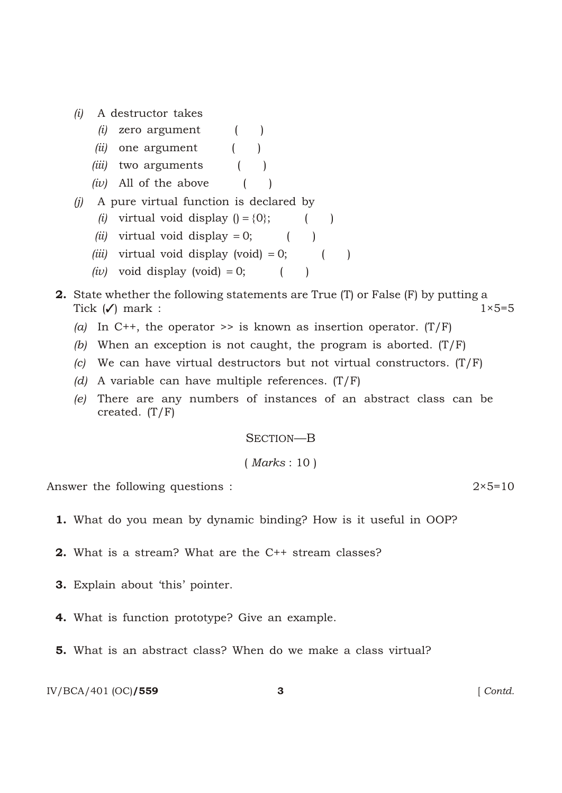*(i)* A destructor takes

|     |      | $(i)$ zero argument                    |              |  |  |
|-----|------|----------------------------------------|--------------|--|--|
|     | lul- | one argument                           |              |  |  |
|     |      | <i>(iii)</i> two arguments             | $\mathbf{I}$ |  |  |
|     |      | $(iv)$ All of the above                |              |  |  |
| (1) |      | A pure virtual function is declared by |              |  |  |
|     |      | (i) virtual void display $() \{0\};$   |              |  |  |

- *(ii)* virtual void display 0; ( )
- *(iii)* virtual void display (void) 0; ( )
- *(iv)* void display (void) 0; ( )
- 2. State whether the following statements are True (T) or False (F) by putting a Tick  $(\checkmark)$  mark : 1×5=5
	- (a) In C++, the operator  $\gg$  is known as insertion operator. (T/F)
	- *(b)* When an exception is not caught, the program is aborted. (T/F)
	- *(c)* We can have virtual destructors but not virtual constructors. (T/F)
	- *(d)* A variable can have multiple references. (T/F)
	- *(e)* There are any numbers of instances of an abstract class can be created.  $(T/F)$

#### SECTION—B

( *Marks* : 10 )

Answer the following questions : 2×5=10

- 1. What do you mean by dynamic binding? How is it useful in OOP?
- 2. What is a stream? What are the C++ stream classes?
- 3. Explain about 'this' pointer.
- 4. What is function prototype? Give an example.
- 5. What is an abstract class? When do we make a class virtual?